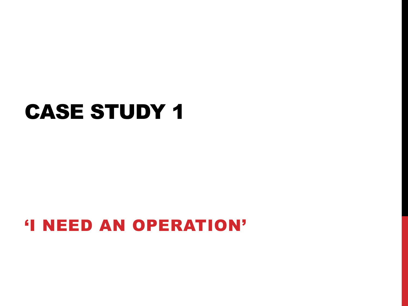## CASE STUDY 1

#### 'I NEED AN OPERATION'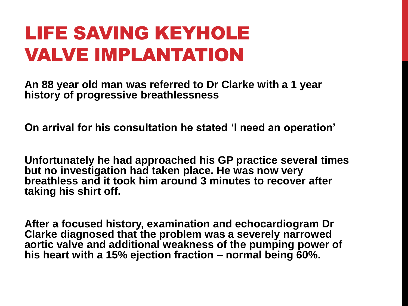#### LIFE SAVING KEYHOLE VALVE IMPLANTATION

**An 88 year old man was referred to Dr Clarke with a 1 year history of progressive breathlessness**

**On arrival for his consultation he stated 'I need an operation'**

**Unfortunately he had approached his GP practice several times but no investigation had taken place. He was now very breathless and it took him around 3 minutes to recover after taking his shirt off.**

**After a focused history, examination and echocardiogram Dr Clarke diagnosed that the problem was a severely narrowed aortic valve and additional weakness of the pumping power of his heart with a 15% ejection fraction – normal being 60%.**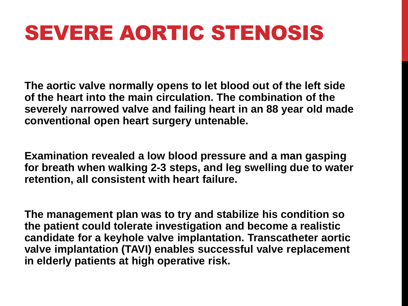# SEVERE AORTIC STENOSIS

**The aortic valve normally opens to let blood out of the left side of the heart into the main circulation. The combination of the severely narrowed valve and failing heart in an 88 year old made conventional open heart surgery untenable.**

**Examination revealed a low blood pressure and a man gasping for breath when walking 2-3 steps, and leg swelling due to water retention, all consistent with heart failure.**

**The management plan was to try and stabilize his condition so the patient could tolerate investigation and become a realistic candidate for a keyhole valve implantation. Transcatheter aortic valve implantation (TAVI) enables successful valve replacement in elderly patients at high operative risk.**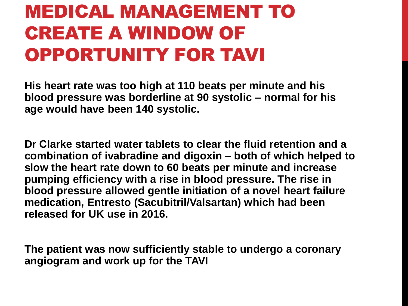### MEDICAL MANAGEMENT TO CREATE A WINDOW OF OPPORTUNITY FOR TAVI

**His heart rate was too high at 110 beats per minute and his blood pressure was borderline at 90 systolic – normal for his age would have been 140 systolic.**

**Dr Clarke started water tablets to clear the fluid retention and a combination of ivabradine and digoxin – both of which helped to slow the heart rate down to 60 beats per minute and increase pumping efficiency with a rise in blood pressure. The rise in blood pressure allowed gentle initiation of a novel heart failure medication, Entresto (Sacubitril/Valsartan) which had been released for UK use in 2016.**

**The patient was now sufficiently stable to undergo a coronary angiogram and work up for the TAVI**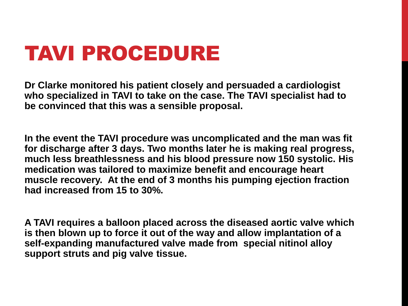# TAVI PROCEDURE

**Dr Clarke monitored his patient closely and persuaded a cardiologist who specialized in TAVI to take on the case. The TAVI specialist had to be convinced that this was a sensible proposal.**

**In the event the TAVI procedure was uncomplicated and the man was fit for discharge after 3 days. Two months later he is making real progress, much less breathlessness and his blood pressure now 150 systolic. His medication was tailored to maximize benefit and encourage heart muscle recovery. At the end of 3 months his pumping ejection fraction had increased from 15 to 30%.**

**A TAVI requires a balloon placed across the diseased aortic valve which is then blown up to force it out of the way and allow implantation of a self-expanding manufactured valve made from special nitinol alloy support struts and pig valve tissue.**